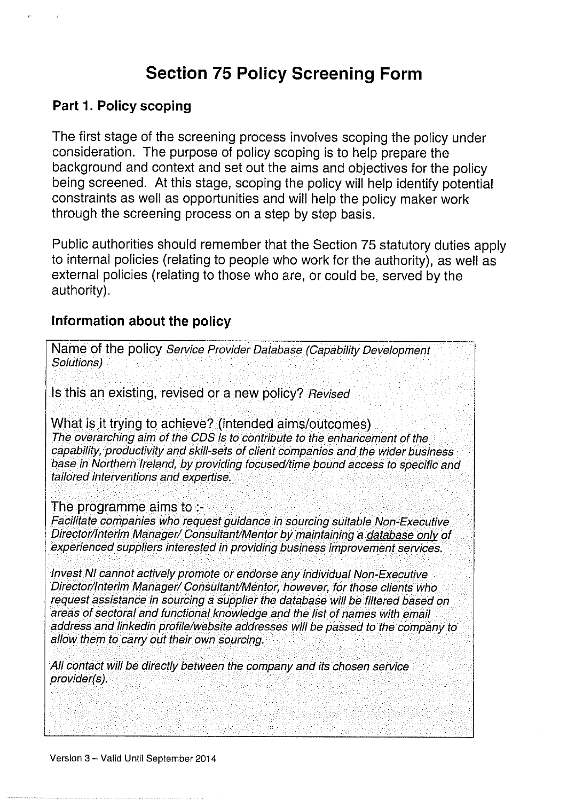# Section 75 Policy Screening Form

#### Part 1. Policy scoping

The first stage of the screening process involves scoping the policy under consideration. The purpose of policy scoping is to help prepare the background and context and set out the aims and objectives for the policy being screened. At this stage, scoping the policy will help identify potential constraints as well as opportunities and will help the policy maker work through the screening process on <sup>a</sup> step by step basis.

Public authorities should remember that the Section <sup>75</sup> statutory duties apply to internal policies (relating to people who work for the authority), as well as external policies (relating to those who are, or could be, served by the authority).

#### Information about the policy

Name of the policy Service Provider Database (Capability Development Solutions) Is this an existing, revised or a new policy? Revised What is it trying to achieve? (intended aims/outcomes) The overarching aim of the CDS is to contribute to the enhancement of the capability, productivity and skill-sets of client companies and the wider business base in Northern Ireland, by providing focused/time bound access to specific and tailored interventions and expertise. The programme aims to Facilitate companies who request guidance in sourcing suitable Non-Executive Director/Interim Manager/ Consultant/Mentor by maintaining a database only of experienced suppliers interested in providing business improvement services.

Invest NI cannot actively promote or endorse any individual Non-Executive Director/Interim Manager/ Consultant/Mentor, however, for those clients who request assistance in sourcing a supplier the database will be filtered based on areas of sectoral and functional knowledge and the list of names with email address and linkedin profile/website addresses will be passed to the company to allow them to carry out their own sourcing.

All contact will be directly between the company and its chosen serviceprovider(s).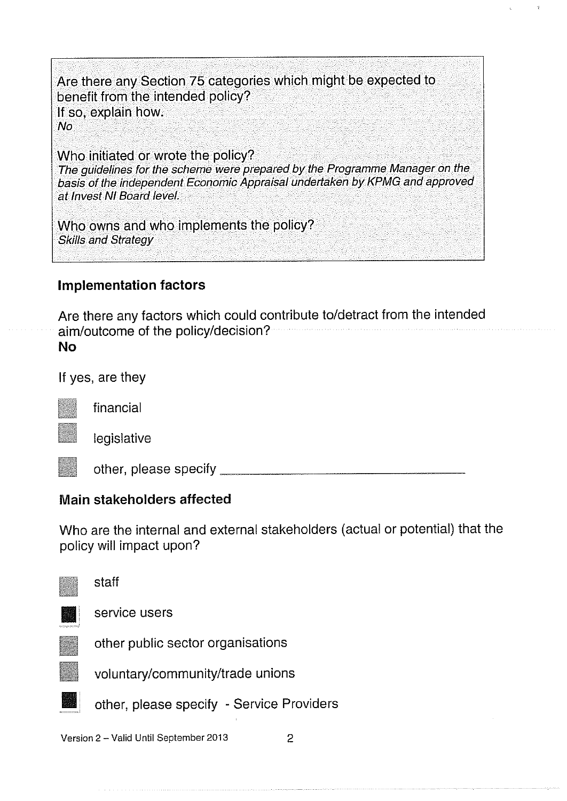Are there any Section <sup>75</sup> categories which might be expected to benefit from the intended policy? If so, explain how. No

Who initiated or wrote the policy? The guidelines for the scheme were prepare<sup>d</sup> by the Programme Manager on the basis of the independent Economic Appraisal undertaken by KPMG and approve<sup>d</sup> at Invest NI Board level.

Who owns and who implements the policy? Skills and Strategy

#### Implementation factors

Are there any factors which could contribute to/detract from the intended aim/outcome of the policy/decision? No

If yes, are they

legislative

financial

other, please specify

## Main stakeholders affected

Who are the internal and external stakeholders (actual or potential) that the policy will impact upon?



Version 2 – Valid Until September 2013 2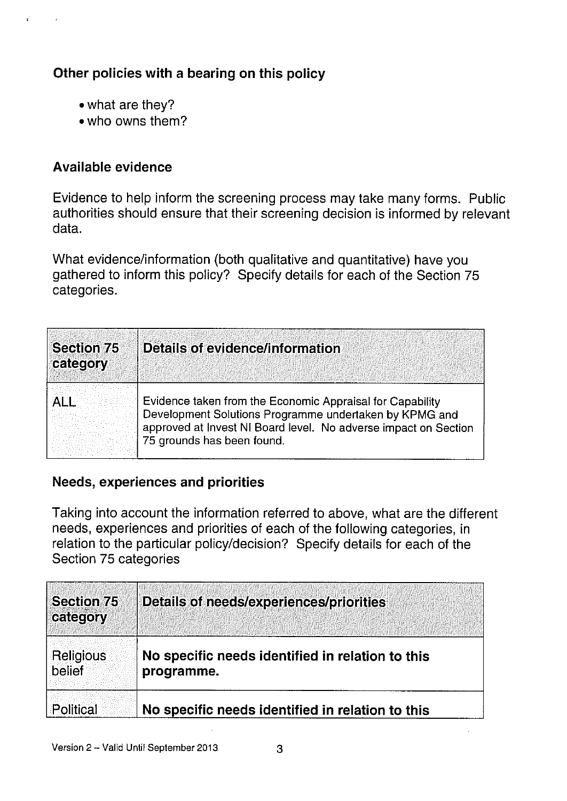# Other policies with a bearing on this policy

- what are they?
- 'who owns them?

#### Available evidence

 $\mathbf{r}^{(1)}$  .

 $\sim$   $\sim$ 

Evidence to help inform the screening process may take many forms. Public authorities should ensure that their screening decision is informed by relevant data.

What evidence/information (both qualitative and quantitative) have you gathered to inform this policy? Specify details for each of the Section 75 categories.

| <b>Section 75</b><br>category | Details of evidence/information                                                                                                                                                                                      |
|-------------------------------|----------------------------------------------------------------------------------------------------------------------------------------------------------------------------------------------------------------------|
|                               | Evidence taken from the Economic Appraisal for Capability<br>Development Solutions Programme undertaken by KPMG and<br>approved at Invest NI Board level. No adverse impact on Section<br>75 grounds has been found. |

#### Needs, experiences and priorities

Taking into account the information referred to above, what are the different needs, experiences and priorities of each of the following categories, in relation to the particular policy/decision? Specify details for each of the Section 75 categories

| <b>Section 75</b><br>category | <b>Details of needs/experiences/priorities</b>                 |
|-------------------------------|----------------------------------------------------------------|
| Religious<br>belief           | No specific needs identified in relation to this<br>programme. |
| Political                     | No specific needs identified in relation to this               |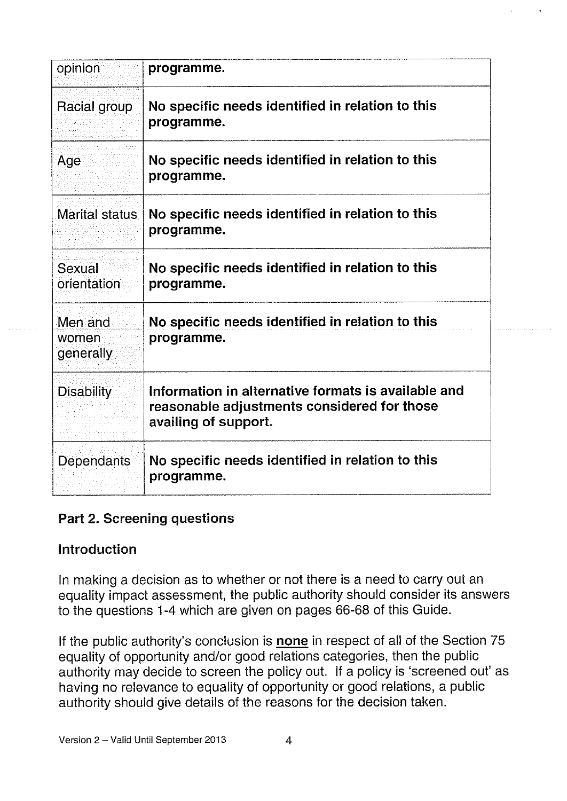| opinion                       | programme.                                                                                                                 |
|-------------------------------|----------------------------------------------------------------------------------------------------------------------------|
| Racial group                  | No specific needs identified in relation to this<br>programme.                                                             |
| Age                           | No specific needs identified in relation to this<br>programme.                                                             |
| Marital status                | No specific needs identified in relation to this<br>programme.                                                             |
| Sexual<br>orientation         | No specific needs identified in relation to this<br>programme.                                                             |
| Men and<br>women<br>generally | No specific needs identified in relation to this<br>programme.                                                             |
| <b>Disability</b>             | Information in alternative formats is available and<br>reasonable adjustments considered for those<br>availing of support. |
| Dependants                    | No specific needs identified in relation to this<br>programme.                                                             |

## Part 2. Screening questions

## Introduction

In making a decision as to whether or not there is a need to carry out an equality impact assessment, the public authority should consider its answers to the questions 1-4 which are given on pages 66-68 of this Guide.

If the public authority's conclusion is none in respect of all of the Section 75 equality of opportunity and/or good relations categories, then the public authority may decide to screen the policy out. If a policy is 'screened out' as having no relevance to equality of opportunity or good relations, a public authority should give details of the reasons for the decision taken.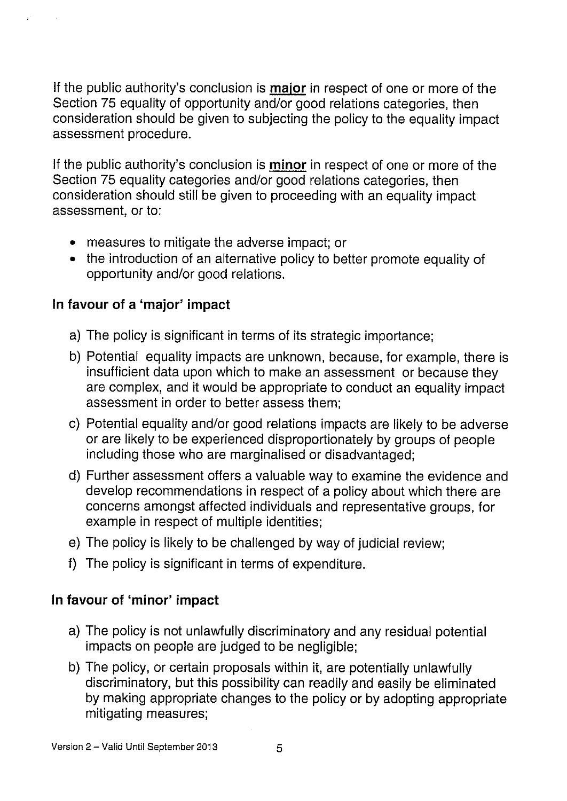If the public authority's conclusion is **major** in respect of one or more of the Section 75 equality of opportunity and/or good relations categories, then consideration should be given to subjecting the policy to the equality impact assessment procedure.

If the public authority's conclusion is minor in respect of one or more of the Section 75 equality categories and/or good relations categories, then consideration should still be given to proceeding with an equality impact assessment, or to:

- measures to mitigate the adverse impact; or
- the introduction of an alternative policy to better promote equality of opportunity and/or good relations.

## In favour of a 'major' impact

 $\epsilon$  .

 $\sim$   $\sim$ 

- a) The policy is significant in terms of its strategic importance;
- b) Potential equality impacts are unknown, because, for example, there is insufficient data upon which to make an assessment or because they are complex, and it would be appropriate to conduct an equality impact assessment in order to better assess them;
- c) Potential equality and/or good relations impacts are likely to be adverse or are likely to be experienced disproportionately by groups of people including those who are marginalised or disadvantaged;
- d) Further assessment offers a valuable way to examine the evidence and develop recommendations in respect of a policy about which there are concerns amongst affected individuals and representative groups, for example in respect of multiple identities;
- e) The policy is likely to be challenged by way of judicial review;
- f) The policy is significant in terms of expenditure.

## In favour of 'minor' impact

- a) The policy is not unlawfully discriminatory and any residual potential impacts on people are judged to be negligible;
- b) The policy, or certain proposals within it, are potentially unlawfully discriminatory, but this possibility can readily and easily be eliminated by making appropriate changes to the policy or by adopting appropriate mitigating measures;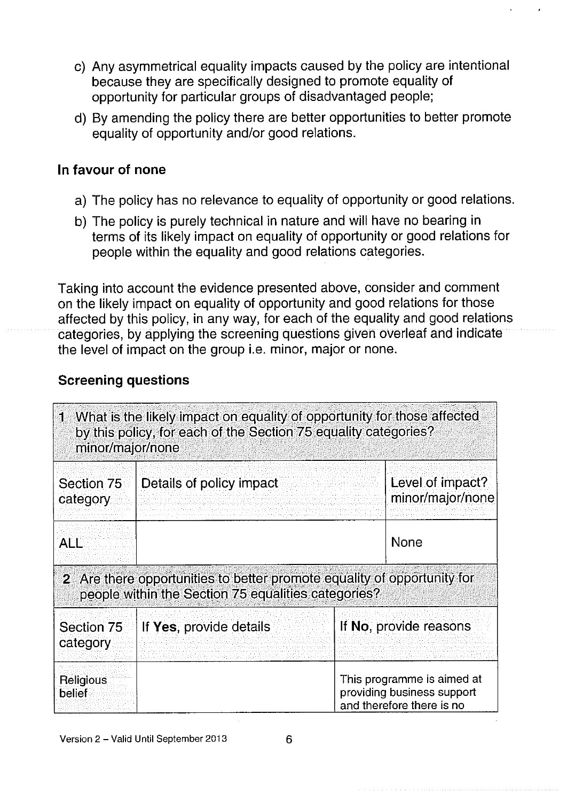- c) Any asymmetrical equality impacts caused by the policy are intentional because they are specifically designed to promote equality of opportunity for particular groups of disadvantaged people;
- d) By amending the policy there are better opportunities to better promote equality of opportunity and/or good relations.

#### In favour of none

- a) The policy has no relevance to equality of opportunity or good relations.
- b) The policy is purely technical in nature and will have no bearing in terms of its likely impact on equality of opportunity or good relations for people within the equality and good relations categories.

Taking into account the evidence presented above, consider and comment on the likely impact on equality of opportunity and good relations for those affected by this policy, in any way, for each of the equality and good relations categories, by applying the screening questions given overleaf and indicate the level of impact on the group i.e. minor, major or none.

#### Screening questions

| minor/major/none       | 1 What is the likely impact on equality of opportunity for those affected<br>by this policy, for each of the Section 75 equality categories? |                                                                                       |
|------------------------|----------------------------------------------------------------------------------------------------------------------------------------------|---------------------------------------------------------------------------------------|
| Section 75<br>category | Details of policy impact                                                                                                                     | Level of impact?<br>minor/major/none                                                  |
| ALL                    |                                                                                                                                              | <b>None</b>                                                                           |
|                        | 2 Are there opportunities to better promote equality of opportunity for<br>people within the Section 75 equalities categories?               |                                                                                       |
| Section 75<br>category | If Yes, provide details                                                                                                                      | If No, provide reasons                                                                |
| Religious<br>belief    |                                                                                                                                              | This programme is aimed at<br>providing business support<br>and therefore there is no |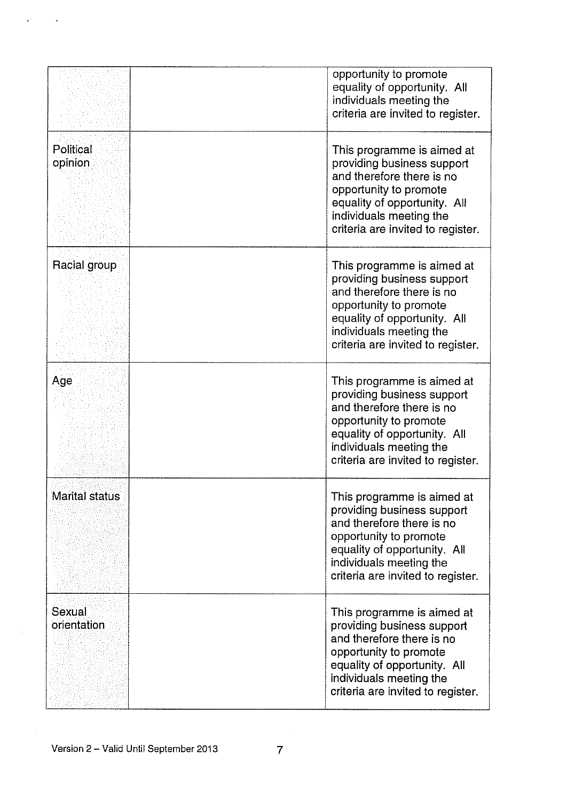|                       | opportunity to promote<br>equality of opportunity. All<br>individuals meeting the<br>criteria are invited to register.                                                                                          |
|-----------------------|-----------------------------------------------------------------------------------------------------------------------------------------------------------------------------------------------------------------|
| Political<br>opinion  | This programme is aimed at<br>providing business support<br>and therefore there is no<br>opportunity to promote<br>equality of opportunity. All<br>individuals meeting the<br>criteria are invited to register. |
| Racial group          | This programme is aimed at<br>providing business support<br>and therefore there is no<br>opportunity to promote<br>equality of opportunity. All<br>individuals meeting the<br>criteria are invited to register. |
| Age                   | This programme is aimed at<br>providing business support<br>and therefore there is no<br>opportunity to promote<br>equality of opportunity. All<br>individuals meeting the<br>criteria are invited to register. |
| <b>Marital status</b> | This programme is aimed at<br>providing business support<br>and therefore there is no<br>opportunity to promote<br>equality of opportunity. All<br>individuals meeting the<br>criteria are invited to register. |
| Sexual<br>orientation | This programme is aimed at<br>providing business support<br>and therefore there is no<br>opportunity to promote<br>equality of opportunity. All<br>individuals meeting the<br>criteria are invited to register. |

 $\mathbf{s}^{(i)}$ 

 $\sim$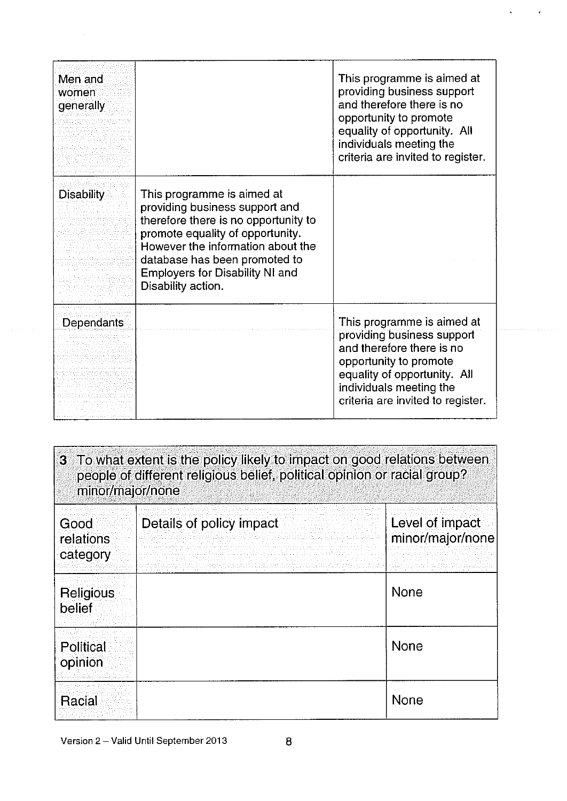| Men and<br>women<br>generally |                                                                                                                                                                                                                                                                                | This programme is aimed at<br>providing business support<br>and therefore there is no<br>opportunity to promote<br>equality of opportunity. All<br>individuals meeting the<br>criteria are invited to register. |
|-------------------------------|--------------------------------------------------------------------------------------------------------------------------------------------------------------------------------------------------------------------------------------------------------------------------------|-----------------------------------------------------------------------------------------------------------------------------------------------------------------------------------------------------------------|
| <b>Disability</b>             | This programme is aimed at<br>providing business support and<br>therefore there is no opportunity to<br>promote equality of opportunity.<br>However the information about the<br>database has been promoted to<br><b>Employers for Disability NI and</b><br>Disability action. |                                                                                                                                                                                                                 |
| Dependants                    |                                                                                                                                                                                                                                                                                | This programme is aimed at<br>providing business support<br>and therefore there is no<br>opportunity to promote<br>equality of opportunity. All<br>individuals meeting the<br>criteria are invited to register. |

 $\mathcal{L}^{\text{max}}$ 

 $\Delta$ 

| 3 To what extent is the policy likely to impact on good relations between<br>people of different religious belief, political opinion or racial group?<br>minor/major/none |                          |                                     |
|---------------------------------------------------------------------------------------------------------------------------------------------------------------------------|--------------------------|-------------------------------------|
| Good<br><i>relations</i><br>category                                                                                                                                      | Details of policy impact | Level of impact<br>minor/major/none |
| Religious<br>belief                                                                                                                                                       |                          | <b>None</b>                         |
| <b>Political</b><br>opinion                                                                                                                                               |                          | <b>None</b>                         |
| Racial                                                                                                                                                                    |                          | None                                |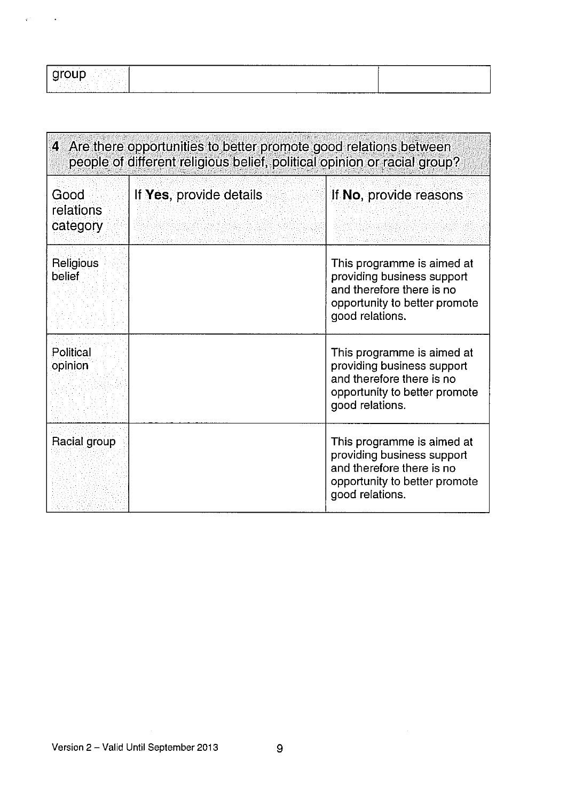|                   | .                                  | --------- |
|-------------------|------------------------------------|-----------|
| <b>CONTRACTOR</b> |                                    |           |
|                   |                                    |           |
|                   |                                    |           |
|                   |                                    |           |
|                   | _____________________<br>--------- |           |

| 4 Are there opportunities to better promote good relations between<br>people of different religious belief, political opinion or racial group? |                         |                                                                                                                                           |
|------------------------------------------------------------------------------------------------------------------------------------------------|-------------------------|-------------------------------------------------------------------------------------------------------------------------------------------|
| Good<br>relations<br>category                                                                                                                  | If Yes, provide details | If No, provide reasons                                                                                                                    |
| Religious<br>belief                                                                                                                            |                         | This programme is aimed at<br>providing business support<br>and therefore there is no<br>opportunity to better promote<br>good relations. |
| Political<br>opinion                                                                                                                           |                         | This programme is aimed at<br>providing business support<br>and therefore there is no<br>opportunity to better promote<br>good relations. |
| Racial group                                                                                                                                   |                         | This programme is aimed at<br>providing business support<br>and therefore there is no<br>opportunity to better promote<br>good relations. |

 $\dot{\nu}$ 

 $\ddot{\phantom{1}}$ 

 $\mathcal{A}^{\mathcal{A}}$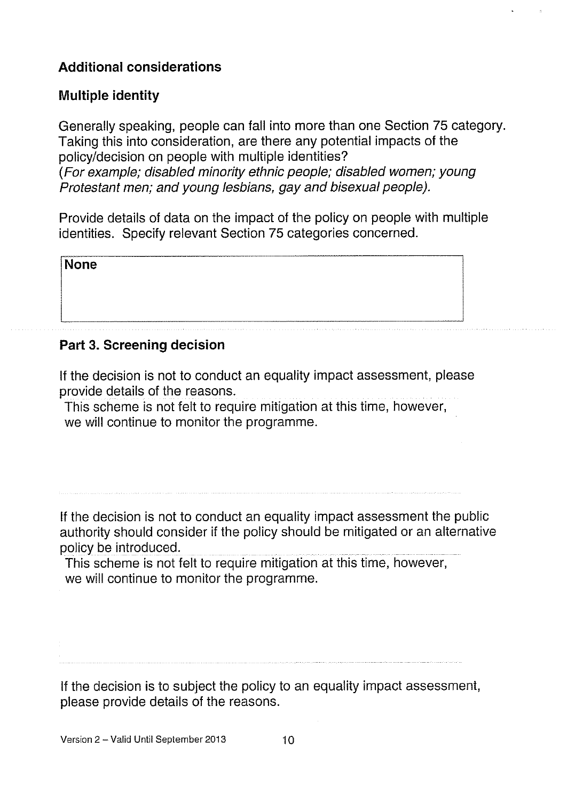# Additional considerations

# Multiple identity

Generally speaking, people can fall into more than one Section 75 category. Taking this into consideration, are there any potential impacts of the policy/decision on people with multiple identities? (For example; disabled minority ethnic people; disabled women; young Protestant men; and young lesbians, gay and bisexual people).

Provide details of data on the impact of the policy on people with multiple identities. Specify relevant Section 75 categories concerned.

None

## Part 3. Screening decision

If the decision is not to conduct an equality impact assessment, please provide details of the reasons.

This scheme is not felt to require mitigation at this time, however, we will continue to monitor the programme.

If the decision is not to conduct an equality impact assessment the public authority should consider if the policy should be mitigated or an alternative policy be introduced.

This scheme is not felt to require mitigation at this time, however, we will continue to monitor the programme.

If the decision is to subject the policy to an equality impact assessment, please provide details of the reasons.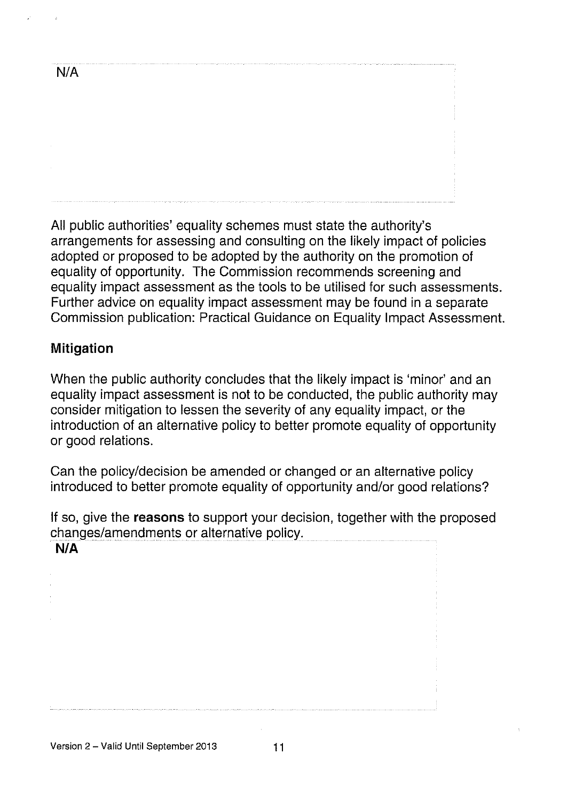N/A

All public authorities' equality schemes must state the authority's arrangements for assessing and consulting on the likely impact of policies adopted or proposed to be adopted by the authority on the promotion of equality of opportunity. The Commission recommends screening and equality impact assessment as the tools to be utilised for such assessments. Further advice on equality impact assessment may be found in a separate Commission publication: Practical Guidance on Equality Impact Assessment.

#### Mitigation

When the public authority concludes that the likely impact is 'minor' and an equality impact assessment is not to be conducted, the public authority may consider mitigation to lessen the severity of any equality impact, or the introduction of an alternative policy to better promote equality of opportunity or good relations.

Can the policy/decision be amended or changed or an alternative policy introduced to better promote equality of opportunity and/or good relations?

If so, give the **reasons** to support your decision, together with the proposed changes/amendments or alternative policy.

N/A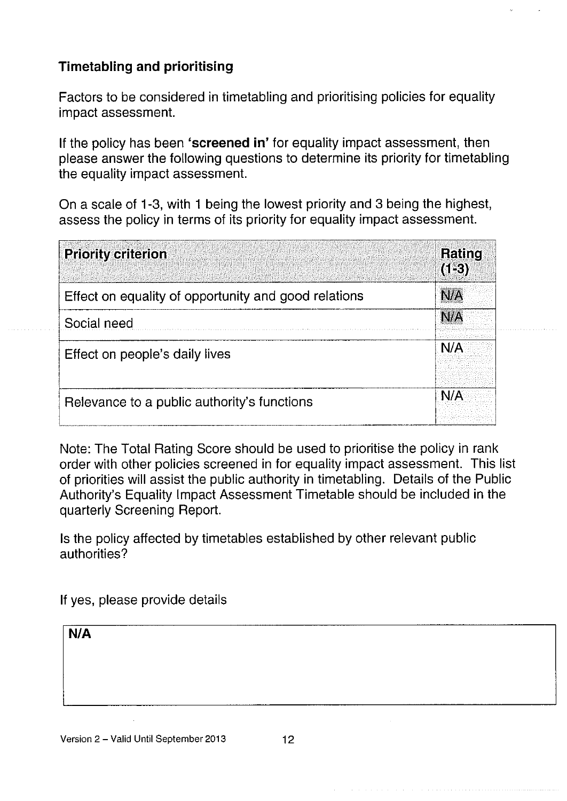# Timetabling and prioritising

Factors to be considered in timetabling and prioritising policies for equality impact assessment.

If the policy has been 'screened in' for equality impact assessment, then please answer the following questions to determine its priority for timetabling the equality impact assessment.

On a scale of 1-3, with <sup>1</sup> being the lowest priority and 3 being the highest, assess the policy in terms of its priority for equality impact assessment.

| <b>Priority criterion</b>                            | Rating<br>$(1-3)$ |
|------------------------------------------------------|-------------------|
| Effect on equality of opportunity and good relations | N/A               |
| Social need                                          | <b>N/A</b>        |
| Effect on people's daily lives                       | N/A               |
| Relevance to a public authority's functions          | N/A               |

Note: The Total Rating Score should be used to prioritise the policy in rank order with other policies screened in for equality impact assessment. This list of priorities will assist the public authority in timetabling. Details of the Public Authority's Equality Impact Assessment Timetable should be included in the quarterly Screening Report.

Is the policy affected by timetables established by other relevant public authorities?

If yes, please provide details

| $\overline{\mathsf{N/A}}$ |  |   |  |
|---------------------------|--|---|--|
|                           |  |   |  |
|                           |  |   |  |
|                           |  | . |  |